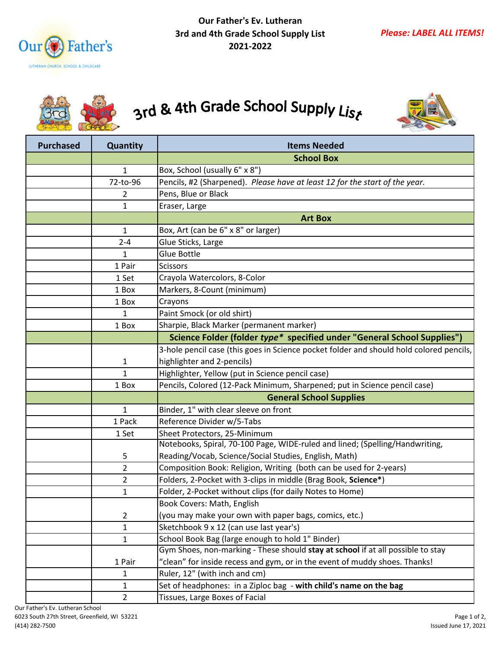



## 3rd & 4th Grade School Supply List



| <b>Purchased</b> | Quantity       | <b>Items Needed</b>                                                                     |
|------------------|----------------|-----------------------------------------------------------------------------------------|
|                  |                | <b>School Box</b>                                                                       |
|                  | 1              | Box, School (usually 6" x 8")                                                           |
|                  | 72-to-96       | Pencils, #2 (Sharpened). Please have at least 12 for the start of the year.             |
|                  | 2              | Pens, Blue or Black                                                                     |
|                  | 1              | Eraser, Large                                                                           |
|                  |                | <b>Art Box</b>                                                                          |
|                  | 1              | Box, Art (can be 6" x 8" or larger)                                                     |
|                  | $2 - 4$        | Glue Sticks, Large                                                                      |
|                  | 1              | Glue Bottle                                                                             |
|                  | 1 Pair         | <b>Scissors</b>                                                                         |
|                  | 1 Set          | Crayola Watercolors, 8-Color                                                            |
|                  | 1 Box          | Markers, 8-Count (minimum)                                                              |
|                  | 1 Box          | Crayons                                                                                 |
|                  | 1              | Paint Smock (or old shirt)                                                              |
|                  | 1 Box          | Sharpie, Black Marker (permanent marker)                                                |
|                  |                | Science Folder (folder type* specified under "General School Supplies")                 |
|                  |                | 3-hole pencil case (this goes in Science pocket folder and should hold colored pencils, |
|                  | 1              | highlighter and 2-pencils)                                                              |
|                  | $\mathbf{1}$   | Highlighter, Yellow (put in Science pencil case)                                        |
|                  | 1 Box          | Pencils, Colored (12-Pack Minimum, Sharpened; put in Science pencil case)               |
|                  |                | <b>General School Supplies</b>                                                          |
|                  | $\mathbf{1}$   | Binder, 1" with clear sleeve on front                                                   |
|                  | 1 Pack         | Reference Divider w/5-Tabs                                                              |
|                  | 1 Set          | Sheet Protectors, 25-Minimum                                                            |
|                  |                | Notebooks, Spiral, 70-100 Page, WIDE-ruled and lined; (Spelling/Handwriting,            |
|                  | 5              | Reading/Vocab, Science/Social Studies, English, Math)                                   |
|                  | 2              | Composition Book: Religion, Writing (both can be used for 2-years)                      |
|                  | 2              | Folders, 2-Pocket with 3-clips in middle (Brag Book, Science*)                          |
|                  | 1              | Folder, 2-Pocket without clips (for daily Notes to Home)                                |
|                  |                | Book Covers: Math, English                                                              |
|                  | 2              | (you may make your own with paper bags, comics, etc.)                                   |
|                  | $\mathbf{1}$   | Sketchbook 9 x 12 (can use last year's)                                                 |
|                  | 1              | School Book Bag (large enough to hold 1" Binder)                                        |
|                  |                | Gym Shoes, non-marking - These should stay at school if at all possible to stay         |
|                  | 1 Pair         | "clean" for inside recess and gym, or in the event of muddy shoes. Thanks!              |
|                  | 1              | Ruler, 12" (with inch and cm)                                                           |
|                  | 1              | Set of headphones: in a Ziploc bag - with child's name on the bag                       |
|                  | $\overline{2}$ | Tissues, Large Boxes of Facial                                                          |